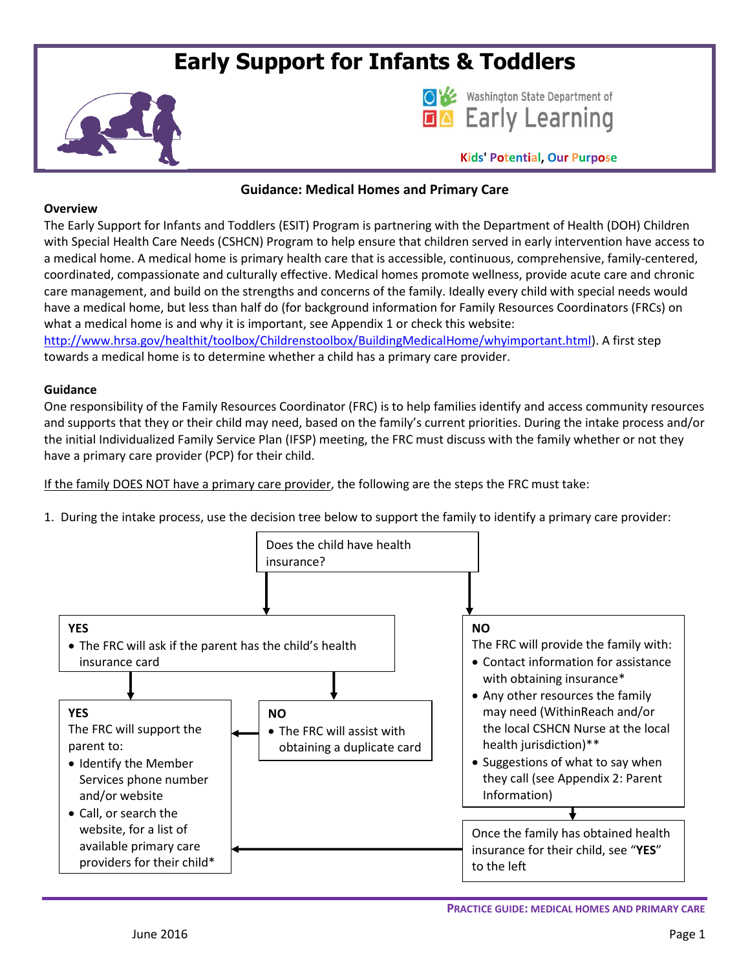# **Early Support for Infants & Toddlers**





**Kids' Potential, Our Purpose**

## **Guidance: Medical Homes and Primary Care**

#### **Overview**

The Early Support for Infants and Toddlers (ESIT) Program is partnering with the Department of Health (DOH) Children with Special Health Care Needs (CSHCN) Program to help ensure that children served in early intervention have access to a medical home. A medical home is primary health care that is accessible, continuous, comprehensive, family-centered, coordinated, compassionate and culturally effective. Medical homes promote wellness, provide acute care and chronic care management, and build on the strengths and concerns of the family. Ideally every child with special needs would have a medical home, but less than half do (for background information for Family Resources Coordinators (FRCs) on what a medical home is and why it is important, see Appendix 1 or check this website:

[http://www.hrsa.gov/healthit/toolbox/Childrenstoolbox/BuildingMedicalHome/whyimportant.html\)](http://www.hrsa.gov/healthit/toolbox/Childrenstoolbox/BuildingMedicalHome/whyimportant.html). A first step towards a medical home is to determine whether a child has a primary care provider.

#### **Guidance**

One responsibility of the Family Resources Coordinator (FRC) is to help families identify and access community resources and supports that they or their child may need, based on the family's current priorities. During the intake process and/or the initial Individualized Family Service Plan (IFSP) meeting, the FRC must discuss with the family whether or not they have a primary care provider (PCP) for their child.

If the family DOES NOT have a primary care provider, the following are the steps the FRC must take:

1. During the intake process, use the decision tree below to support the family to identify a primary care provider:

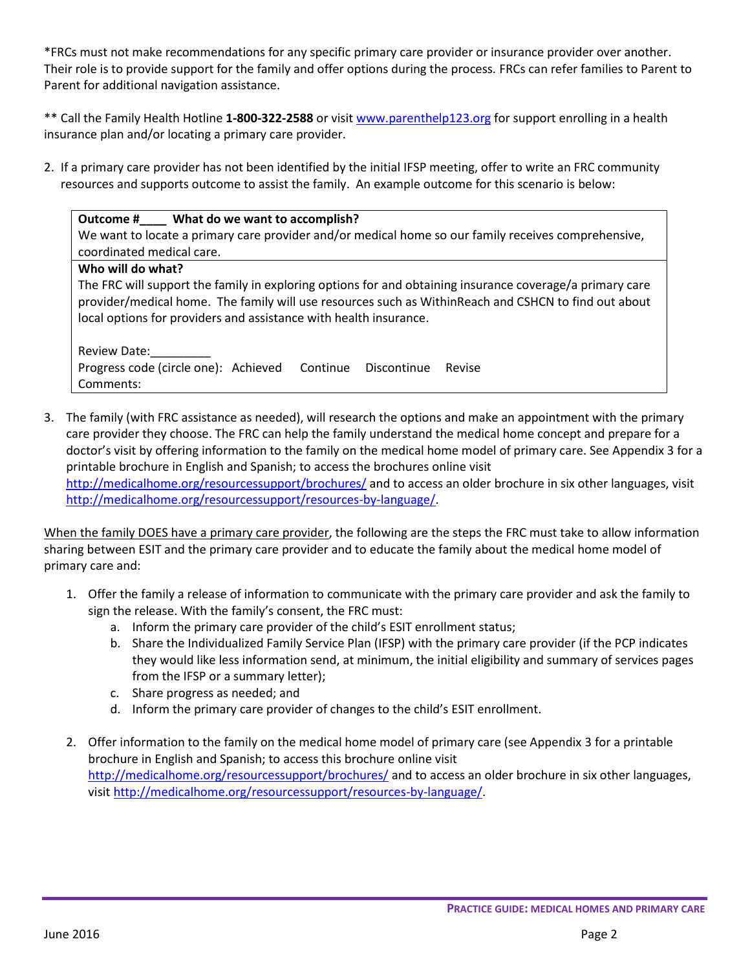\*FRCs must not make recommendations for any specific primary care provider or insurance provider over another. Their role is to provide support for the family and offer options during the process. FRCs can refer families to Parent to Parent for additional navigation assistance.

\*\* Call the Family Health Hotline **1-800-322-2588** or visit [www.parenthelp123.org](http://www.parenthelp123.org/) for support enrolling in a health insurance plan and/or locating a primary care provider.

2. If a primary care provider has not been identified by the initial IFSP meeting, offer to write an FRC community resources and supports outcome to assist the family. An example outcome for this scenario is below:

## **Outcome #\_\_\_\_ What do we want to accomplish?**

**Who will do what?**

We want to locate a primary care provider and/or medical home so our family receives comprehensive, coordinated medical care.

The FRC will support the family in exploring options for and obtaining insurance coverage/a primary care provider/medical home. The family will use resources such as WithinReach and CSHCN to find out about local options for providers and assistance with health insurance.

Review Date: Progress code (circle one): Achieved Continue Discontinue Revise Comments:

3. The family (with FRC assistance as needed), will research the options and make an appointment with the primary care provider they choose. The FRC can help the family understand the medical home concept and prepare for a doctor's visit by offering information to the family on the medical home model of primary care. See Appendix 3 for a printable brochure in English and Spanish; to access the brochures online visit <http://medicalhome.org/resourcessupport/brochures/> and to access an older brochure in six other languages, visit [http://medicalhome.org/resourcessupport/resources-by-language/.](http://medicalhome.org/resourcessupport/resources-by-language/)

When the family DOES have a primary care provider, the following are the steps the FRC must take to allow information sharing between ESIT and the primary care provider and to educate the family about the medical home model of primary care and:

- 1. Offer the family a release of information to communicate with the primary care provider and ask the family to sign the release. With the family's consent, the FRC must:
	- a. Inform the primary care provider of the child's ESIT enrollment status;
	- b. Share the Individualized Family Service Plan (IFSP) with the primary care provider (if the PCP indicates they would like less information send, at minimum, the initial eligibility and summary of services pages from the IFSP or a summary letter);
	- c. Share progress as needed; and
	- d. Inform the primary care provider of changes to the child's ESIT enrollment.
- 2. Offer information to the family on the medical home model of primary care (see Appendix 3 for a printable brochure in English and Spanish; to access this brochure online visit <http://medicalhome.org/resourcessupport/brochures/> and to access an older brochure in six other languages, visi[t http://medicalhome.org/resourcessupport/resources-by-language/.](http://medicalhome.org/resourcessupport/resources-by-language/)